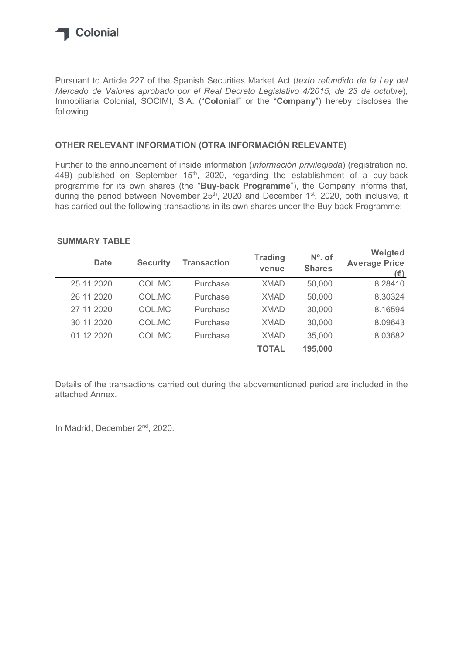

### OTHER RELEVANT INFORMATION (OTRA INFORMACIÓN RELEVANTE)

### SUMMARY TABLE

| Inmobiliaria Colonial, SOCIMI, S.A. ("Colonial" or the "Company") hereby discloses the<br>following                                                                                                                                                                                    |                 |                    |                |               |                                                                                                                    |
|----------------------------------------------------------------------------------------------------------------------------------------------------------------------------------------------------------------------------------------------------------------------------------------|-----------------|--------------------|----------------|---------------|--------------------------------------------------------------------------------------------------------------------|
| OTHER RELEVANT INFORMATION (OTRA INFORMACIÓN RELEVANTE)                                                                                                                                                                                                                                |                 |                    |                |               |                                                                                                                    |
| Further to the announcement of inside information (información privilegiada) (registration no.<br>449) published on September 15 <sup>th</sup> , 2020, regarding the establishment of a buy-back<br>programme for its own shares (the "Buy-back Programme"), the Company informs that, |                 |                    |                |               | during the period between November 25 <sup>th</sup> , 2020 and December 1 <sup>st</sup> , 2020, both inclusive, it |
| has carried out the following transactions in its own shares under the Buy-back Programme:<br><b>SUMMARY TABLE</b>                                                                                                                                                                     |                 |                    | <b>Trading</b> | $No$ . of     | Weigted                                                                                                            |
| <b>Date</b>                                                                                                                                                                                                                                                                            | <b>Security</b> | <b>Transaction</b> | venue          | <b>Shares</b> | <b>Average Price</b><br>$(\epsilon)$                                                                               |
| 25 11 2020                                                                                                                                                                                                                                                                             | COL.MC          | Purchase           | <b>XMAD</b>    | 50,000        | 8.28410                                                                                                            |
| 26 11 2020                                                                                                                                                                                                                                                                             | COL.MC          | Purchase           | <b>XMAD</b>    | 50,000        | 8.30324                                                                                                            |
| 27 11 2020                                                                                                                                                                                                                                                                             | COL.MC          | Purchase           | <b>XMAD</b>    | 30,000        | 8.16594                                                                                                            |
| 30 11 2020                                                                                                                                                                                                                                                                             | COL.MC          | Purchase           | <b>XMAD</b>    | 30,000        | 8.09643                                                                                                            |
| 01 12 2020                                                                                                                                                                                                                                                                             | COL.MC          | Purchase           | <b>XMAD</b>    | 35,000        | 8.03682                                                                                                            |

Details of the transactions carried out during the abovementioned period are included in the attached Annex.

In Madrid, December 2<sup>nd</sup>, 2020.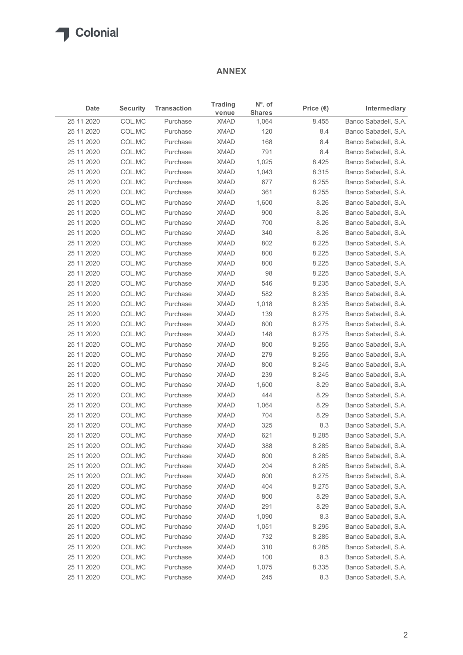### ANNEX

| Date<br>25 11 2020<br>25 11 2020<br>25 11 2020 | <b>Security</b>  |                      |                            |                                   |                    |                                              |
|------------------------------------------------|------------------|----------------------|----------------------------|-----------------------------------|--------------------|----------------------------------------------|
|                                                |                  | <b>Transaction</b>   | <b>Trading</b><br>venue    | $N^{\circ}$ . of<br><b>Shares</b> | Price $(\epsilon)$ | Intermediary                                 |
|                                                | COL.MC           | Purchase             | <b>XMAD</b>                | 1,064                             | 8.455              | Banco Sabadell, S.A.                         |
|                                                | COL.MC           | Purchase             | XMAD                       | 120                               | 8.4                | Banco Sabadell, S.A.                         |
|                                                | COL.MC           | Purchase             | <b>XMAD</b>                | 168                               | 8.4                | Banco Sabadell, S.A.                         |
| 25 11 2020                                     | COL.MC           | Purchase             | <b>XMAD</b>                | 791                               | 8.4                | Banco Sabadell, S.A.                         |
| 25 11 2020                                     | COL.MC           | Purchase             | XMAD                       | 1,025                             | 8.425              | Banco Sabadell, S.A.                         |
| 25 11 2020                                     | COL.MC           | Purchase             | XMAD                       | 1,043                             | 8.315              | Banco Sabadell, S.A.                         |
| 25 11 2020                                     | COL.MC           | Purchase             | XMAD                       | 677                               | 8.255              | Banco Sabadell, S.A.                         |
| 25 11 2020                                     | COL.MC           | Purchase             | <b>XMAD</b>                | 361                               | 8.255              | Banco Sabadell, S.A.                         |
| 25 11 2020                                     | COL.MC           | Purchase             | <b>XMAD</b><br><b>XMAD</b> | 1,600                             | 8.26               | Banco Sabadell, S.A.                         |
| 25 11 2020<br>25 11 2020                       | COL.MC<br>COL.MC | Purchase<br>Purchase | XMAD                       | 900<br>700                        | 8.26<br>8.26       | Banco Sabadell, S.A.<br>Banco Sabadell, S.A. |
| 25 11 2020                                     | COL.MC           | Purchase             | XMAD                       | 340                               | 8.26               | Banco Sabadell, S.A.                         |
| 25 11 2020                                     | COL.MC           | Purchase             | <b>XMAD</b>                | 802                               | 8.225              | Banco Sabadell, S.A.                         |
| 25 11 2020                                     | COL.MC           | Purchase             | XMAD                       | 800                               | 8.225              | Banco Sabadell, S.A.                         |
| 25 11 2020                                     | COL.MC           | Purchase             | <b>XMAD</b>                | 800                               | 8.225              | Banco Sabadell, S.A.                         |
| 25 11 2020                                     | COL.MC           | Purchase             | <b>XMAD</b>                | 98                                | 8.225              | Banco Sabadell, S.A.                         |
| 25 11 2020                                     | COL.MC           | Purchase             | <b>XMAD</b>                | 546                               | 8.235              | Banco Sabadell, S.A.                         |
| 25 11 2020                                     | COL.MC           | Purchase             | XMAD                       | 582                               | 8.235              | Banco Sabadell, S.A.                         |
| 25 11 2020                                     | COL.MC           | Purchase             | <b>XMAD</b>                | 1,018                             | 8.235              | Banco Sabadell, S.A.                         |
| 25 11 2020                                     | COL.MC           | Purchase             | <b>XMAD</b>                | 139                               | 8.275              | Banco Sabadell, S.A.                         |
| 25 11 2020                                     | COL.MC           | Purchase             | <b>XMAD</b>                | 800                               | 8.275              | Banco Sabadell, S.A.                         |
| 25 11 2020                                     | COL.MC           | Purchase             | <b>XMAD</b>                | 148                               | 8.275              | Banco Sabadell, S.A.                         |
| 25 11 2020                                     | COL.MC           | Purchase             | <b>XMAD</b>                | 800                               | 8.255              | Banco Sabadell, S.A.                         |
| 25 11 2020                                     | COL.MC           | Purchase             | <b>XMAD</b>                | 279                               | 8.255              | Banco Sabadell, S.A.                         |
| 25 11 2020                                     | COL.MC           | Purchase             | <b>XMAD</b>                | 800                               | 8.245              | Banco Sabadell, S.A.                         |
| 25 11 2020                                     | COL.MC           | Purchase             | <b>XMAD</b>                | 239                               | 8.245              | Banco Sabadell, S.A.                         |
| 25 11 2020                                     | COL.MC           | Purchase             | XMAD                       | 1,600                             | 8.29               | Banco Sabadell, S.A.                         |
| 25 11 2020                                     | COL.MC           | Purchase             | <b>XMAD</b>                | 444                               | 8.29               | Banco Sabadell, S.A.                         |
| 25 11 2020                                     | COL.MC           | Purchase             | <b>XMAD</b>                | 1,064                             | 8.29               | Banco Sabadell, S.A.                         |
| 25 11 2020                                     | COL.MC           | Purchase             | <b>XMAD</b>                | 704                               | 8.29               | Banco Sabadell, S.A.                         |
| 25 11 2020                                     | COL.MC           | Purchase             | <b>XMAD</b>                | 325                               | 8.3                | Banco Sabadell, S.A.                         |
| 25 11 2020                                     | COL.MC           | Purchase             | <b>XMAD</b>                | 621                               | 8.285              | Banco Sabadell, S.A.                         |
| 25 11 2020                                     | COL.MC           | Purchase             | <b>XMAD</b>                | 388                               | 8.285              | Banco Sabadell, S.A.                         |
| 25 11 2020                                     | COL.MC           | Purchase             | <b>XMAD</b>                | 800                               | 8.285              | Banco Sabadell, S.A.                         |
| 25 11 2020                                     | COL.MC           | Purchase             | <b>XMAD</b>                | 204                               | 8.285              | Banco Sabadell, S.A.                         |
| 25 11 2020                                     | COL.MC           | Purchase             | <b>XMAD</b>                | 600                               | 8.275              | Banco Sabadell, S.A.                         |
| 25 11 2020                                     | COL.MC           | Purchase             | <b>XMAD</b>                | 404                               | 8.275              | Banco Sabadell, S.A.                         |
| 25 11 2020                                     | COL.MC           | Purchase             | <b>XMAD</b>                | 800                               | 8.29               | Banco Sabadell, S.A.                         |
| 25 11 2020                                     | COL.MC           | Purchase             | <b>XMAD</b>                | 291                               | 8.29               | Banco Sabadell, S.A.                         |
| 25 11 2020                                     | COL.MC           | Purchase             | <b>XMAD</b>                | 1,090                             | 8.3                | Banco Sabadell, S.A.                         |
| 25 11 2020                                     | COL.MC           | Purchase             | <b>XMAD</b>                | 1,051                             | 8.295              | Banco Sabadell, S.A.                         |
| 25 11 2020                                     | COL.MC           | Purchase             | <b>XMAD</b>                | 732                               | 8.285              | Banco Sabadell, S.A.                         |
| 25 11 2020                                     | COL.MC           | Purchase             | <b>XMAD</b>                | 310                               | 8.285              | Banco Sabadell, S.A.                         |
| 25 11 2020                                     | COL.MC           | Purchase             | <b>XMAD</b>                | 100                               | 8.3                | Banco Sabadell, S.A.                         |
| 25 11 2020                                     | COL.MC           | Purchase             | <b>XMAD</b>                | 1,075                             | 8.335              | Banco Sabadell, S.A.                         |
| 25 11 2020                                     | COL.MC           | Purchase             | <b>XMAD</b>                | 245                               | 8.3                | Banco Sabadell, S.A.                         |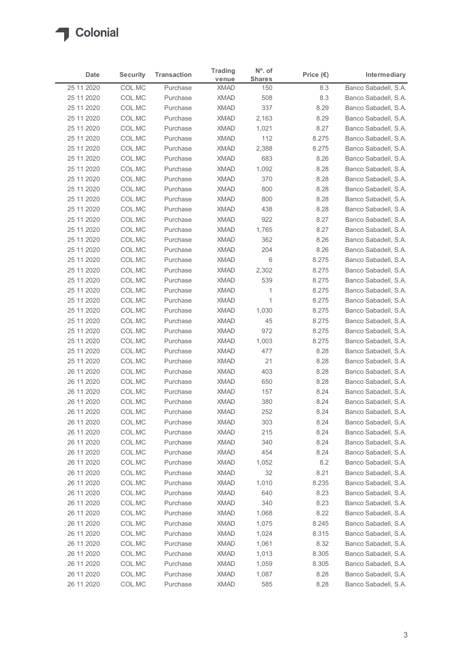| Date                     | <b>Security</b>  | <b>Transaction</b>   | <b>Trading</b>             | $N^{\circ}$ . of     | Price $(\epsilon)$ | Intermediary                                 |
|--------------------------|------------------|----------------------|----------------------------|----------------------|--------------------|----------------------------------------------|
| 25 11 2020               | COL.MC           | Purchase             | venue<br><b>XMAD</b>       | <b>Shares</b><br>150 | 8.3                | Banco Sabadell, S.A.                         |
| 25 11 2020               | COL.MC           | Purchase             | <b>XMAD</b>                | 508                  | 8.3                | Banco Sabadell, S.A.                         |
| 25 11 2020               | COL.MC           | Purchase             | <b>XMAD</b>                | 337                  | 8.29               | Banco Sabadell, S.A.                         |
| 25 11 2020               | COL.MC           | Purchase             | <b>XMAD</b>                | 2,163                | 8.29               | Banco Sabadell, S.A.                         |
| 25 11 2020               | COL.MC           | Purchase             | <b>XMAD</b>                | 1,021                | 8.27               | Banco Sabadell, S.A.                         |
| 25 11 2020               | COL.MC           | Purchase             | <b>XMAD</b>                | 112                  | 8.275              | Banco Sabadell, S.A.                         |
| 25 11 2020<br>25 11 2020 | COL.MC<br>COL.MC | Purchase<br>Purchase | XMAD<br><b>XMAD</b>        | 2,388<br>683         | 8.275<br>8.26      | Banco Sabadell, S.A.<br>Banco Sabadell, S.A. |
| 25 11 2020               | COL.MC           | Purchase             | <b>XMAD</b>                | 1,092                | 8.28               | Banco Sabadell, S.A.                         |
| 25 11 2020               | COL.MC           | Purchase             | XMAD                       | 370                  | 8.28               | Banco Sabadell, S.A.                         |
| 25 11 2020               | COL.MC           | Purchase             | <b>XMAD</b>                | 800                  | 8.28               | Banco Sabadell, S.A.                         |
| 25 11 2020               | COL.MC           | Purchase             | <b>XMAD</b>                | 800                  | 8.28               | Banco Sabadell, S.A.                         |
| 25 11 2020               | COL.MC           | Purchase             | <b>XMAD</b>                | 438                  | 8.28               | Banco Sabadell, S.A.                         |
| 25 11 2020<br>25 11 2020 | COL.MC<br>COL.MC | Purchase<br>Purchase | XMAD<br><b>XMAD</b>        | 922<br>1,765         | 8.27<br>8.27       | Banco Sabadell, S.A.<br>Banco Sabadell, S.A. |
| 25 11 2020               | COL.MC           | Purchase             | <b>XMAD</b>                | 362                  | 8.26               | Banco Sabadell, S.A.                         |
| 25 11 2020               | COL.MC           | Purchase             | <b>XMAD</b>                | 204                  | 8.26               | Banco Sabadell, S.A.                         |
| 25 11 2020               | COL.MC           | Purchase             | XMAD                       | 6                    | 8.275              | Banco Sabadell, S.A.                         |
| 25 11 2020               | COL.MC           | Purchase             | XMAD                       | 2,302                | 8.275              | Banco Sabadell, S.A.                         |
| 25 11 2020               | COL.MC           | Purchase             | <b>XMAD</b>                | 539                  | 8.275              | Banco Sabadell, S.A.                         |
| 25 11 2020               | COL.MC           | Purchase             | <b>XMAD</b>                | $\overline{1}$       | 8.275              | Banco Sabadell, S.A.                         |
| 25 11 2020               | COL.MC           | Purchase             | XMAD                       | $\mathbf{1}$         | 8.275              | Banco Sabadell, S.A.                         |
| 25 11 2020<br>25 11 2020 | COL.MC<br>COL.MC | Purchase<br>Purchase | XMAD<br>XMAD               | 1,030<br>45          | 8.275<br>8.275     | Banco Sabadell, S.A.<br>Banco Sabadell, S.A. |
| 25 11 2020               | COL.MC           | Purchase             | <b>XMAD</b>                | 972                  | 8.275              | Banco Sabadell, S.A.                         |
| 25 11 2020               | COL.MC           | Purchase             | <b>XMAD</b>                | 1,003                | 8.275              | Banco Sabadell, S.A.                         |
| 25 11 2020               | COL.MC           | Purchase             | <b>XMAD</b>                | 477                  | 8.28               | Banco Sabadell, S.A.                         |
| 25 11 2020               | COL.MC           | Purchase             | <b>XMAD</b>                | 21                   | 8.28               | Banco Sabadell, S.A.                         |
| 26 11 2020               | COL.MC           | Purchase             | XMAD                       | 403                  | 8.28               | Banco Sabadell, S.A.                         |
| 26 11 2020               | COL.MC           | Purchase             | <b>XMAD</b>                | 650                  | 8.28               | Banco Sabadell, S.A.                         |
| 26 11 2020               | COL.MC           | Purchase             | <b>XMAD</b>                | 157                  | 8.24               | Banco Sabadell, S.A.                         |
| 26 11 2020               | COL.MC           | Purchase<br>Purchase | <b>XMAD</b><br><b>XMAD</b> | 380<br>252           | 8.24<br>8.24       | Banco Sabadell, S.A.                         |
| 26 11 2020<br>26 11 2020 | COL.MC<br>COL.MC | Purchase             | <b>XMAD</b>                | 303                  | 8.24               | Banco Sabadell, S.A.<br>Banco Sabadell, S.A. |
| 26 11 2020               | COL.MC           | Purchase             | <b>XMAD</b>                | 215                  | 8.24               | Banco Sabadell, S.A.                         |
| 26 11 2020               | COL.MC           | Purchase             | <b>XMAD</b>                | 340                  | 8.24               | Banco Sabadell, S.A.                         |
| 26 11 2020               | COL.MC           | Purchase             | <b>XMAD</b>                | 454                  | 8.24               | Banco Sabadell, S.A.                         |
| 26 11 2020               | COL.MC           | Purchase             | <b>XMAD</b>                | 1,052                | 8.2                | Banco Sabadell, S.A.                         |
| 26 11 2020               | COL.MC           | Purchase             | <b>XMAD</b>                | 32                   | 8.21               | Banco Sabadell, S.A.                         |
| 26 11 2020               | COL.MC           | Purchase             | XMAD                       | 1,010                | 8.235              | Banco Sabadell, S.A.                         |
| 26 11 2020               | COL.MC           | Purchase             | <b>XMAD</b>                | 640                  | 8.23               | Banco Sabadell, S.A.                         |
| 26 11 2020<br>26 11 2020 | COL.MC<br>COL.MC | Purchase<br>Purchase | <b>XMAD</b><br><b>XMAD</b> | 340<br>1,068         | 8.23<br>8.22       | Banco Sabadell, S.A.<br>Banco Sabadell, S.A. |
| 26 11 2020               | COL.MC           | Purchase             | <b>XMAD</b>                | 1,075                | 8.245              | Banco Sabadell, S.A.                         |
| 26 11 2020               | COL.MC           | Purchase             | <b>XMAD</b>                | 1,024                | 8.315              | Banco Sabadell, S.A.                         |
| 26 11 2020               | COL.MC           | Purchase             | XMAD                       | 1,061                | 8.32               | Banco Sabadell, S.A.                         |
| 26 11 2020               | COL.MC           | Purchase             | XMAD                       | 1,013                | 8.305              | Banco Sabadell, S.A.                         |
| 26 11 2020               | COL.MC           | Purchase             | <b>XMAD</b>                | 1,059                | 8.305              | Banco Sabadell, S.A.                         |
| 26 11 2020               | COL.MC           | Purchase             | <b>XMAD</b>                | 1,087                | 8.28               | Banco Sabadell, S.A.                         |
| 26 11 2020               | COL.MC           | Purchase             | <b>XMAD</b>                | 585                  | 8.28               | Banco Sabadell, S.A.                         |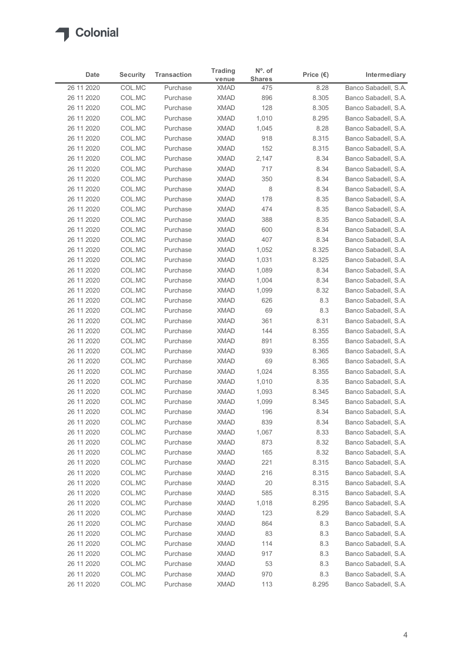| Date                     | <b>Security</b>  | <b>Transaction</b>   | <b>Trading</b>             | $No$ . of            | Price $(\epsilon)$ | Intermediary                                 |
|--------------------------|------------------|----------------------|----------------------------|----------------------|--------------------|----------------------------------------------|
| 26 11 2020               | COL.MC           | Purchase             | venue<br><b>XMAD</b>       | <b>Shares</b><br>475 | 8.28               | Banco Sabadell, S.A.                         |
| 26 11 2020               | COL.MC           | Purchase             | <b>XMAD</b>                | 896                  | 8.305              | Banco Sabadell, S.A.                         |
| 26 11 2020               | COL.MC           | Purchase             | <b>XMAD</b>                | 128                  | 8.305              | Banco Sabadell, S.A.                         |
| 26 11 2020               | COL.MC           | Purchase             | <b>XMAD</b>                | 1,010                | 8.295              | Banco Sabadell, S.A.                         |
| 26 11 2020               | COL.MC           | Purchase             | <b>XMAD</b>                | 1,045                | 8.28               | Banco Sabadell, S.A.                         |
| 26 11 2020               | COL.MC           | Purchase             | <b>XMAD</b>                | 918                  | 8.315              | Banco Sabadell, S.A.                         |
| 26 11 2020<br>26 11 2020 | COL.MC<br>COL.MC | Purchase<br>Purchase | <b>XMAD</b><br><b>XMAD</b> | 152<br>2,147         | 8.315<br>8.34      | Banco Sabadell, S.A.<br>Banco Sabadell, S.A. |
| 26 11 2020               | COL.MC           | Purchase             | <b>XMAD</b>                | 717                  | 8.34               | Banco Sabadell, S.A.                         |
| 26 11 2020               | COL.MC           | Purchase             | <b>XMAD</b>                | 350                  | 8.34               | Banco Sabadell, S.A.                         |
| 26 11 2020               | COL.MC           | Purchase             | <b>XMAD</b>                | 8                    | 8.34               | Banco Sabadell, S.A.                         |
| 26 11 2020               | COL.MC           | Purchase             | <b>XMAD</b>                | 178                  | 8.35               | Banco Sabadell, S.A.                         |
| 26 11 2020               | COL.MC           | Purchase             | <b>XMAD</b>                | 474                  | 8.35               | Banco Sabadell, S.A.                         |
| 26 11 2020               | COL.MC           | Purchase             | XMAD                       | 388                  | 8.35               | Banco Sabadell, S.A.                         |
| 26 11 2020<br>26 11 2020 | COL.MC<br>COL.MC | Purchase<br>Purchase | <b>XMAD</b><br><b>XMAD</b> | 600<br>407           | 8.34<br>8.34       | Banco Sabadell, S.A.<br>Banco Sabadell, S.A. |
| 26 11 2020               | COL.MC           | Purchase             | XMAD                       | 1,052                | 8.325              | Banco Sabadell, S.A.                         |
| 26 11 2020               | COL.MC           | Purchase             | <b>XMAD</b>                | 1,031                | 8.325              | Banco Sabadell, S.A.                         |
| 26 11 2020               | COL.MC           | Purchase             | <b>XMAD</b>                | 1,089                | 8.34               | Banco Sabadell, S.A.                         |
| 26 11 2020               | COL.MC           | Purchase             | <b>XMAD</b>                | 1,004                | 8.34               | Banco Sabadell, S.A.                         |
| 26 11 2020               | COL.MC           | Purchase             | <b>XMAD</b>                | 1,099                | 8.32               | Banco Sabadell, S.A.                         |
| 26 11 2020               | COL.MC           | Purchase             | <b>XMAD</b>                | 626                  | 8.3                | Banco Sabadell, S.A.                         |
| 26 11 2020               | COL.MC           | Purchase             | XMAD                       | 69                   | 8.3                | Banco Sabadell, S.A.                         |
| 26 11 2020               | COL.MC           | Purchase             | <b>XMAD</b>                | 361                  | 8.31               | Banco Sabadell, S.A.                         |
| 26 11 2020               | COL.MC           | Purchase             | <b>XMAD</b>                | 144                  | 8.355              | Banco Sabadell, S.A.                         |
| 26 11 2020<br>26 11 2020 | COL.MC<br>COL.MC | Purchase<br>Purchase | <b>XMAD</b><br><b>XMAD</b> | 891<br>939           | 8.355<br>8.365     | Banco Sabadell, S.A.<br>Banco Sabadell, S.A. |
| 26 11 2020               | COL.MC           | Purchase             | XMAD                       | 69                   | 8.365              | Banco Sabadell, S.A.                         |
| 26 11 2020               | COL.MC           | Purchase             | <b>XMAD</b>                | 1,024                | 8.355              | Banco Sabadell, S.A.                         |
| 26 11 2020               | COL.MC           | Purchase             | <b>XMAD</b>                | 1,010                | 8.35               | Banco Sabadell, S.A.                         |
| 26 11 2020               | COL.MC           | Purchase             | <b>XMAD</b>                | 1,093                | 8.345              | Banco Sabadell, S.A.                         |
| 26 11 2020               | COL.MC           | Purchase             | <b>XMAD</b>                | 1,099                | 8.345              | Banco Sabadell, S.A.                         |
| 26 11 2020               | COL.MC           | Purchase             | <b>XMAD</b>                | 196                  | 8.34               | Banco Sabadell, S.A.                         |
| 26 11 2020               | COL.MC           | Purchase             | <b>XMAD</b>                | 839                  | 8.34               | Banco Sabadell, S.A.                         |
| 26 11 2020               | COL.MC           | Purchase             | XMAD                       | 1,067                | 8.33               | Banco Sabadell, S.A.                         |
| 26 11 2020               | COL.MC           | Purchase             | <b>XMAD</b>                | 873                  | 8.32               | Banco Sabadell, S.A.                         |
| 26 11 2020<br>26 11 2020 | COL.MC<br>COL.MC | Purchase<br>Purchase | <b>XMAD</b><br><b>XMAD</b> | 165<br>221           | 8.32<br>8.315      | Banco Sabadell, S.A.<br>Banco Sabadell, S.A. |
| 26 11 2020               | COL.MC           | Purchase             | <b>XMAD</b>                | 216                  | 8.315              | Banco Sabadell, S.A.                         |
| 26 11 2020               | COL.MC           | Purchase             | <b>XMAD</b>                | 20                   | 8.315              | Banco Sabadell, S.A.                         |
| 26 11 2020               | COL.MC           | Purchase             | <b>XMAD</b>                | 585                  | 8.315              | Banco Sabadell, S.A.                         |
| 26 11 2020               | COL.MC           | Purchase             | <b>XMAD</b>                | 1,018                | 8.295              | Banco Sabadell, S.A.                         |
| 26 11 2020               | COL.MC           | Purchase             | <b>XMAD</b>                | 123                  | 8.29               | Banco Sabadell, S.A.                         |
| 26 11 2020               | COL.MC           | Purchase             | <b>XMAD</b>                | 864                  | 8.3                | Banco Sabadell, S.A.                         |
| 26 11 2020               | COL.MC           | Purchase             | <b>XMAD</b>                | 83                   | 8.3                | Banco Sabadell, S.A.                         |
| 26 11 2020               | COL.MC           | Purchase             | <b>XMAD</b>                | 114                  | 8.3                | Banco Sabadell, S.A.                         |
| 26 11 2020               | COL.MC           | Purchase             | <b>XMAD</b>                | 917                  | 8.3                | Banco Sabadell, S.A.                         |
| 26 11 2020<br>26 11 2020 | COL.MC<br>COL.MC | Purchase<br>Purchase | <b>XMAD</b><br><b>XMAD</b> | 53<br>970            | 8.3                | Banco Sabadell, S.A.<br>Banco Sabadell, S.A. |
|                          | COL.MC           | Purchase             | <b>XMAD</b>                | 113                  | 8.3<br>8.295       | Banco Sabadell, S.A.                         |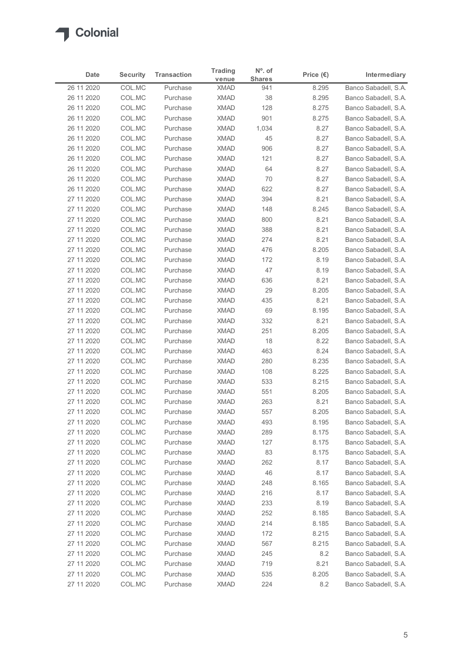| Date                     | <b>Security</b>  | <b>Transaction</b>   | <b>Trading</b>             | $No$ . of            | Price $(\epsilon)$ | Intermediary                                 |
|--------------------------|------------------|----------------------|----------------------------|----------------------|--------------------|----------------------------------------------|
| 26 11 2020               | COL.MC           | Purchase             | venue<br><b>XMAD</b>       | <b>Shares</b><br>941 | 8.295              | Banco Sabadell, S.A.                         |
| 26 11 2020               | COL.MC           | Purchase             | <b>XMAD</b>                | 38                   | 8.295              | Banco Sabadell, S.A.                         |
| 26 11 2020               | COL.MC           | Purchase             | <b>XMAD</b>                | 128                  | 8.275              | Banco Sabadell, S.A.                         |
| 26 11 2020               | COL.MC           | Purchase             | <b>XMAD</b>                | 901                  | 8.275              | Banco Sabadell, S.A.                         |
| 26 11 2020               | COL.MC           | Purchase             | <b>XMAD</b>                | 1,034                | 8.27               | Banco Sabadell, S.A.                         |
| 26 11 2020               | COL.MC           | Purchase             | <b>XMAD</b>                | 45                   | 8.27               | Banco Sabadell, S.A.                         |
| 26 11 2020<br>26 11 2020 | COL.MC<br>COL.MC | Purchase<br>Purchase | <b>XMAD</b><br><b>XMAD</b> | 906<br>121           | 8.27<br>8.27       | Banco Sabadell, S.A.<br>Banco Sabadell, S.A. |
| 26 11 2020               | COL.MC           | Purchase             | <b>XMAD</b>                | 64                   | 8.27               | Banco Sabadell, S.A.                         |
| 26 11 2020               | COL.MC           | Purchase             | <b>XMAD</b>                | 70                   | 8.27               | Banco Sabadell, S.A.                         |
| 26 11 2020               | COL.MC           | Purchase             | <b>XMAD</b>                | 622                  | 8.27               | Banco Sabadell, S.A.                         |
| 27 11 2020               | COL.MC           | Purchase             | <b>XMAD</b>                | 394                  | 8.21               | Banco Sabadell, S.A.                         |
| 27 11 2020               | COL.MC           | Purchase             | <b>XMAD</b>                | 148                  | 8.245              | Banco Sabadell, S.A.                         |
| 27 11 2020               | COL.MC           | Purchase             | XMAD                       | 800                  | 8.21               | Banco Sabadell, S.A.                         |
| 27 11 2020<br>27 11 2020 | COL.MC<br>COL.MC | Purchase<br>Purchase | <b>XMAD</b><br><b>XMAD</b> | 388<br>274           | 8.21<br>8.21       | Banco Sabadell, S.A.<br>Banco Sabadell, S.A. |
| 27 11 2020               | COL.MC           | Purchase             | <b>XMAD</b>                | 476                  | 8.205              | Banco Sabadell, S.A.                         |
| 27 11 2020               | COL.MC           | Purchase             | <b>XMAD</b>                | 172                  | 8.19               | Banco Sabadell, S.A.                         |
| 27 11 2020               | COL.MC           | Purchase             | <b>XMAD</b>                | 47                   | 8.19               | Banco Sabadell, S.A.                         |
| 27 11 2020               | COL.MC           | Purchase             | <b>XMAD</b>                | 636                  | 8.21               | Banco Sabadell, S.A.                         |
| 27 11 2020               | COL.MC           | Purchase             | <b>XMAD</b>                | 29                   | 8.205              | Banco Sabadell, S.A.                         |
| 27 11 2020               | COL.MC           | Purchase             | <b>XMAD</b>                | 435                  | 8.21               | Banco Sabadell, S.A.                         |
| 27 11 2020               | COL.MC           | Purchase             | XMAD                       | 69                   | 8.195              | Banco Sabadell, S.A.                         |
| 27 11 2020<br>27 11 2020 | COL.MC<br>COL.MC | Purchase<br>Purchase | <b>XMAD</b><br><b>XMAD</b> | 332<br>251           | 8.21<br>8.205      | Banco Sabadell, S.A.<br>Banco Sabadell, S.A. |
| 27 11 2020               | COL.MC           | Purchase             | <b>XMAD</b>                | 18                   | 8.22               | Banco Sabadell, S.A.                         |
| 27 11 2020               | COL.MC           | Purchase             | <b>XMAD</b>                | 463                  | 8.24               | Banco Sabadell, S.A.                         |
| 27 11 2020               | COL.MC           | Purchase             | XMAD                       | 280                  | 8.235              | Banco Sabadell, S.A.                         |
| 27 11 2020               | COL.MC           | Purchase             | <b>XMAD</b>                | 108                  | 8.225              | Banco Sabadell, S.A.                         |
| 27 11 2020               | COL.MC           | Purchase             | <b>XMAD</b>                | 533                  | 8.215              | Banco Sabadell, S.A.                         |
| 27 11 2020               | COL.MC           | Purchase             | <b>XMAD</b>                | 551                  | 8.205              | Banco Sabadell, S.A.                         |
| 27 11 2020               | COL.MC           | Purchase             | <b>XMAD</b>                | 263                  | 8.21               | Banco Sabadell, S.A.                         |
| 27 11 2020               | COL.MC           | Purchase             | <b>XMAD</b>                | 557                  | 8.205              | Banco Sabadell, S.A.                         |
| 27 11 2020<br>27 11 2020 | COL.MC<br>COL.MC | Purchase<br>Purchase | <b>XMAD</b><br>XMAD        | 493<br>289           | 8.195<br>8.175     | Banco Sabadell, S.A.<br>Banco Sabadell, S.A. |
| 27 11 2020               | COL.MC           | Purchase             | <b>XMAD</b>                | 127                  | 8.175              | Banco Sabadell, S.A.                         |
| 27 11 2020               | COL.MC           | Purchase             | <b>XMAD</b>                | 83                   | 8.175              | Banco Sabadell, S.A.                         |
| 27 11 2020               | COL.MC           | Purchase             | <b>XMAD</b>                | 262                  | 8.17               | Banco Sabadell, S.A.                         |
| 27 11 2020               | COL.MC           | Purchase             | <b>XMAD</b>                | 46                   | 8.17               | Banco Sabadell, S.A.                         |
| 27 11 2020               | COL.MC           | Purchase             | <b>XMAD</b>                | 248                  | 8.165              | Banco Sabadell, S.A.                         |
| 27 11 2020               | COL.MC           | Purchase             | <b>XMAD</b>                | 216                  | 8.17               | Banco Sabadell, S.A.                         |
| 27 11 2020               | COL.MC           | Purchase             | <b>XMAD</b>                | 233                  | 8.19               | Banco Sabadell, S.A.                         |
| 27 11 2020               | COL.MC           | Purchase             | <b>XMAD</b>                | 252                  | 8.185              | Banco Sabadell, S.A.                         |
| 27 11 2020               | COL.MC           | Purchase             | <b>XMAD</b>                | 214                  | 8.185              | Banco Sabadell, S.A.                         |
| 27 11 2020<br>27 11 2020 | COL.MC<br>COL.MC | Purchase<br>Purchase | <b>XMAD</b><br>XMAD        | 172<br>567           | 8.215<br>8.215     | Banco Sabadell, S.A.<br>Banco Sabadell, S.A. |
| 27 11 2020               | COL.MC           | Purchase             | <b>XMAD</b>                | 245                  | 8.2                | Banco Sabadell, S.A.                         |
| 27 11 2020               | COL.MC           | Purchase             | <b>XMAD</b>                | 719                  | 8.21               | Banco Sabadell, S.A.                         |
| 27 11 2020               | COL.MC           | Purchase             | <b>XMAD</b>                | 535                  | 8.205              | Banco Sabadell, S.A.                         |
|                          | COL.MC           | Purchase             | <b>XMAD</b>                | 224                  | 8.2                | Banco Sabadell, S.A.                         |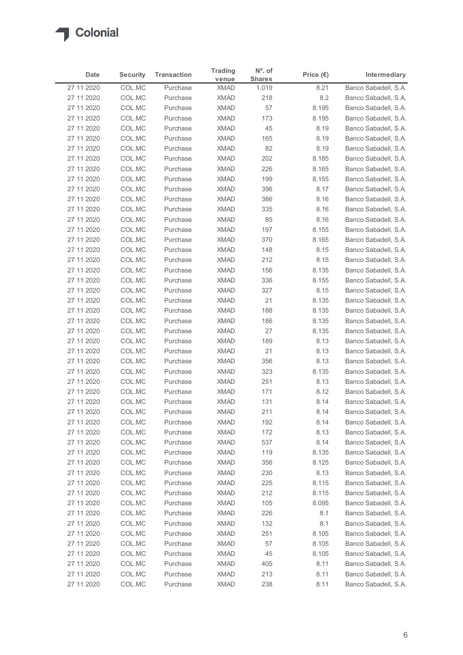| Date                     | <b>Security</b>  | <b>Transaction</b>   | <b>Trading</b>             | N°. of        | Price $(\epsilon)$ | Intermediary                                 |
|--------------------------|------------------|----------------------|----------------------------|---------------|--------------------|----------------------------------------------|
| 27 11 2020               | COL.MC           | Purchase             | venue<br><b>XMAD</b>       | <b>Shares</b> | 8.21               | Banco Sabadell, S.A.                         |
| 27 11 2020               | COL.MC           | Purchase             | <b>XMAD</b>                | 1,019<br>218  | 8.2                | Banco Sabadell, S.A.                         |
| 27 11 2020               | COL.MC           | Purchase             | <b>XMAD</b>                | 57            | 8.195              | Banco Sabadell, S.A.                         |
| 27 11 2020               | COL.MC           | Purchase             | <b>XMAD</b>                | 173           | 8.195              | Banco Sabadell, S.A.                         |
| 27 11 2020               | COL.MC           | Purchase             | <b>XMAD</b>                | 45            | 8.19               | Banco Sabadell, S.A.                         |
| 27 11 2020               | COL.MC           | Purchase             | <b>XMAD</b>                | 165           | 8.19               | Banco Sabadell, S.A.                         |
| 27 11 2020               | COL.MC           | Purchase             | <b>XMAD</b>                | 82            | 8.19               | Banco Sabadell, S.A.                         |
| 27 11 2020<br>27 11 2020 | COL.MC<br>COL.MC | Purchase<br>Purchase | <b>XMAD</b><br><b>XMAD</b> | 202<br>226    | 8.185<br>8.165     | Banco Sabadell, S.A.<br>Banco Sabadell, S.A. |
| 27 11 2020               | COL.MC           | Purchase             | <b>XMAD</b>                | 199           | 8.155              | Banco Sabadell, S.A.                         |
| 27 11 2020               | COL.MC           | Purchase             | <b>XMAD</b>                | 396           | 8.17               | Banco Sabadell, S.A.                         |
| 27 11 2020               | COL.MC           | Purchase             | <b>XMAD</b>                | 386           | 8.16               | Banco Sabadell, S.A.                         |
| 27 11 2020               | COL.MC           | Purchase             | <b>XMAD</b>                | 335           | 8.16               | Banco Sabadell, S.A.                         |
| 27 11 2020               | COL.MC           | Purchase             | XMAD                       | 85            | 8.16               | Banco Sabadell, S.A.                         |
| 27 11 2020               | COL.MC           | Purchase             | <b>XMAD</b>                | 197           | 8.155              | Banco Sabadell, S.A.                         |
| 27 11 2020               | COL.MC           | Purchase             | XMAD                       | 370           | 8.165              | Banco Sabadell, S.A.                         |
| 27 11 2020               | COL.MC           | Purchase             | <b>XMAD</b>                | 148           | 8.15               | Banco Sabadell, S.A.                         |
| 27 11 2020<br>27 11 2020 | COL.MC<br>COL.MC | Purchase<br>Purchase | <b>XMAD</b><br><b>XMAD</b> | 212<br>156    | 8.15<br>8.135      | Banco Sabadell, S.A.<br>Banco Sabadell, S.A. |
| 27 11 2020               | COL.MC           | Purchase             | <b>XMAD</b>                | 336           | 8.155              | Banco Sabadell, S.A.                         |
| 27 11 2020               | COL.MC           | Purchase             | <b>XMAD</b>                | 327           | 8.15               | Banco Sabadell, S.A.                         |
| 27 11 2020               | COL.MC           | Purchase             | XMAD                       | 21            | 8.135              | Banco Sabadell, S.A.                         |
| 27 11 2020               | COL.MC           | Purchase             | <b>XMAD</b>                | 188           | 8.135              | Banco Sabadell, S.A.                         |
| 27 11 2020               | COL.MC           | Purchase             | <b>XMAD</b>                | 186           | 8.135              | Banco Sabadell, S.A.                         |
| 27 11 2020               | COL.MC           | Purchase             | <b>XMAD</b>                | 27            | 8.135              | Banco Sabadell, S.A.                         |
| 27 11 2020               | COL.MC           | Purchase             | <b>XMAD</b>                | 189           | 8.13               | Banco Sabadell, S.A.                         |
| 27 11 2020               | COL.MC           | Purchase             | XMAD                       | 21            | 8.13               | Banco Sabadell, S.A.                         |
| 27 11 2020               | COL.MC           | Purchase             | <b>XMAD</b>                | 356           | 8.13               | Banco Sabadell, S.A.                         |
| 27 11 2020<br>27 11 2020 | COL.MC<br>COL.MC | Purchase<br>Purchase | XMAD<br><b>XMAD</b>        | 323<br>251    | 8.135<br>8.13      | Banco Sabadell, S.A.<br>Banco Sabadell, S.A. |
| 27 11 2020               | COL.MC           | Purchase             | <b>XMAD</b>                | 171           | 8.12               | Banco Sabadell, S.A.                         |
| 27 11 2020               | COL.MC           | Purchase             | <b>XMAD</b>                | 131           | 8.14               | Banco Sabadell, S.A.                         |
| 27 11 2020               | COL.MC           | Purchase             | <b>XMAD</b>                | 211           | 8.14               | Banco Sabadell, S.A.                         |
| 27 11 2020               | COL.MC           | Purchase             | <b>XMAD</b>                | 192           | 8.14               | Banco Sabadell, S.A.                         |
| 27 11 2020               | COL.MC           | Purchase             | XMAD                       | 172           | 8.13               | Banco Sabadell, S.A.                         |
| 27 11 2020               | COL.MC           | Purchase             | <b>XMAD</b>                | 537           | 8.14               | Banco Sabadell, S.A.                         |
| 27 11 2020               | COL.MC           | Purchase             | <b>XMAD</b>                | 119           | 8.135              | Banco Sabadell, S.A.                         |
| 27 11 2020               | COL.MC           | Purchase             | <b>XMAD</b>                | 356           | 8.125              | Banco Sabadell, S.A.                         |
| 27 11 2020<br>27 11 2020 | COL.MC<br>COL.MC | Purchase<br>Purchase | XMAD<br><b>XMAD</b>        | 230<br>225    | 8.13<br>8.115      | Banco Sabadell, S.A.<br>Banco Sabadell, S.A. |
| 27 11 2020               | COL.MC           | Purchase             | <b>XMAD</b>                | 212           | 8.115              | Banco Sabadell, S.A.                         |
| 27 11 2020               | COL.MC           | Purchase             | <b>XMAD</b>                | 105           | 8.095              | Banco Sabadell, S.A.                         |
| 27 11 2020               | COL.MC           | Purchase             | <b>XMAD</b>                | 226           | 8.1                | Banco Sabadell, S.A.                         |
| 27 11 2020               | COL.MC           | Purchase             | <b>XMAD</b>                | 132           | 8.1                | Banco Sabadell, S.A.                         |
| 27 11 2020               | COL.MC           | Purchase             | <b>XMAD</b>                | 251           | 8.105              | Banco Sabadell, S.A.                         |
| 27 11 2020               | COL.MC           | Purchase             | <b>XMAD</b>                | 57            | 8.105              | Banco Sabadell, S.A.                         |
| 27 11 2020               | COL.MC           | Purchase             | <b>XMAD</b>                | 45            | 8.105              | Banco Sabadell, S.A.                         |
| 27 11 2020<br>27 11 2020 | COL.MC           | Purchase             | <b>XMAD</b>                | 405           | 8.11               | Banco Sabadell, S.A.                         |
|                          | COL.MC           | Purchase<br>Purchase | <b>XMAD</b><br><b>XMAD</b> | 213<br>238    | 8.11<br>8.11       | Banco Sabadell, S.A.<br>Banco Sabadell, S.A. |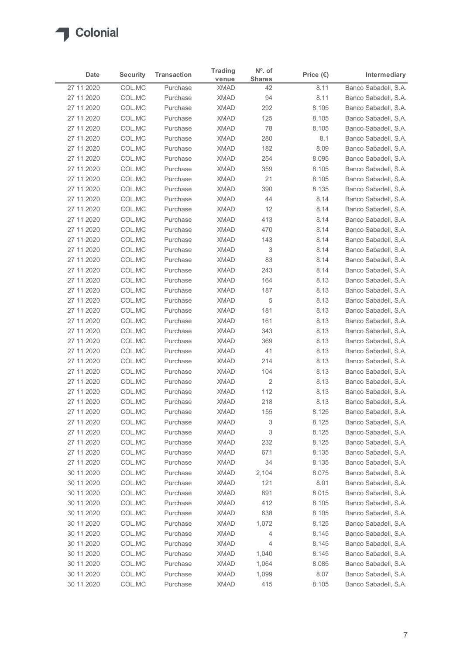| <b>Shares</b><br>venue<br>Banco Sabadell, S.A.<br>27 11 2020<br>COL.MC<br><b>XMAD</b><br>8.11<br>Purchase<br>42<br>COL.MC<br><b>XMAD</b><br>Banco Sabadell, S.A.<br>27 11 2020<br>Purchase<br>94<br>8.11<br>COL.MC<br><b>XMAD</b><br>292<br>8.105<br>Banco Sabadell, S.A.<br>27 11 2020<br>Purchase<br><b>XMAD</b><br>8.105<br>27 11 2020<br>COL.MC<br>Purchase<br>125<br>Banco Sabadell, S.A.<br>COL.MC<br><b>XMAD</b><br>78<br>8.105<br>27 11 2020<br>Purchase<br>Banco Sabadell, S.A.<br>COL.MC<br><b>XMAD</b><br>280<br>Banco Sabadell, S.A.<br>27 11 2020<br>Purchase<br>8.1<br>27 11 2020<br>COL.MC<br><b>XMAD</b><br>Banco Sabadell, S.A.<br>Purchase<br>182<br>8.09<br>254<br>27 11 2020<br>COL.MC<br>Purchase<br><b>XMAD</b><br>8.095<br>Banco Sabadell, S.A.<br>COL.MC<br>Banco Sabadell, S.A.<br>27 11 2020<br><b>XMAD</b><br>359<br>8.105<br>Purchase<br>COL.MC<br><b>XMAD</b><br>21<br>8.105<br>Banco Sabadell, S.A.<br>27 11 2020<br>Purchase<br>COL.MC<br><b>XMAD</b><br>27 11 2020<br>Purchase<br>390<br>8.135<br>Banco Sabadell, S.A.<br>COL.MC<br><b>XMAD</b><br>Banco Sabadell, S.A.<br>27 11 2020<br>Purchase<br>44<br>8.14<br><b>XMAD</b><br>12<br>27 11 2020<br>COL.MC<br>Purchase<br>8.14<br>Banco Sabadell, S.A.<br>413<br>27 11 2020<br>COL.MC<br>XMAD<br>8.14<br>Banco Sabadell, S.A.<br>Purchase<br>27 11 2020<br>Banco Sabadell, S.A.<br>COL.MC<br>Purchase<br><b>XMAD</b><br>470<br>8.14<br>XMAD<br>27 11 2020<br>COL.MC<br>Purchase<br>143<br>8.14<br>Banco Sabadell, S.A.<br><b>XMAD</b><br>8.14<br>27 11 2020<br>COL.MC<br>Purchase<br>3<br>Banco Sabadell, S.A.<br>COL.MC<br>XMAD<br>Banco Sabadell, S.A.<br>27 11 2020<br>Purchase<br>83<br>8.14<br><b>XMAD</b><br>243<br>Banco Sabadell, S.A.<br>27 11 2020<br>COL.MC<br>Purchase<br>8.14<br>27 11 2020<br>COL.MC<br>Purchase<br><b>XMAD</b><br>164<br>8.13<br>Banco Sabadell, S.A.<br>27 11 2020<br>COL.MC<br><b>XMAD</b><br>187<br>8.13<br>Banco Sabadell, S.A.<br>Purchase<br>27 11 2020<br>XMAD<br>5<br>8.13<br>Banco Sabadell, S.A.<br>COL.MC<br>Purchase<br>27 11 2020<br>COL.MC<br>Purchase<br>XMAD<br>181<br>8.13<br>Banco Sabadell, S.A.<br>27 11 2020<br>COL.MC<br>Purchase<br><b>XMAD</b><br>161<br>8.13<br>Banco Sabadell, S.A.<br>343<br>8.13<br>Banco Sabadell, S.A.<br>27 11 2020<br>COL.MC<br>Purchase<br><b>XMAD</b><br>COL.MC<br>369<br>8.13<br>27 11 2020<br>Purchase<br><b>XMAD</b><br>Banco Sabadell, S.A.<br>41<br>27 11 2020<br>COL.MC<br><b>XMAD</b><br>8.13<br>Banco Sabadell, S.A.<br>Purchase<br><b>XMAD</b><br>214<br>8.13<br>27 11 2020<br>COL.MC<br>Banco Sabadell, S.A.<br>Purchase<br><b>XMAD</b><br>8.13<br>Banco Sabadell, S.A.<br>27 11 2020<br>COL.MC<br>Purchase<br>104<br>COL.MC<br><b>XMAD</b><br>$\overline{2}$<br>27 11 2020<br>Purchase<br>8.13<br>Banco Sabadell, S.A.<br><b>XMAD</b><br>112<br>8.13<br>27 11 2020<br>COL.MC<br>Purchase<br>Banco Sabadell, S.A.<br>218<br>8.13<br>27 11 2020<br>COL.MC<br>Purchase<br><b>XMAD</b><br>Banco Sabadell, S.A.<br><b>XMAD</b><br>8.125<br>27 11 2020<br>COL.MC<br>Purchase<br>155<br>Banco Sabadell, S.A.<br><b>XMAD</b><br>3<br>8.125<br>27 11 2020<br>COL.MC<br>Purchase<br>Banco Sabadell, S.A.<br>3<br>8.125<br>27 11 2020<br>COL.MC<br>Purchase<br>XMAD<br>Banco Sabadell, S.A.<br>8.125<br>27 11 2020<br>COL.MC<br>Purchase<br><b>XMAD</b><br>232<br>Banco Sabadell, S.A.<br>671<br>27 11 2020<br>COL.MC<br>Purchase<br><b>XMAD</b><br>8.135<br>Banco Sabadell, S.A.<br>COL.MC<br>34<br>8.135<br>27 11 2020<br><b>XMAD</b><br>Banco Sabadell, S.A.<br>Purchase<br>XMAD<br>8.075<br>30 11 2020<br>COL.MC<br>2,104<br>Banco Sabadell, S.A.<br>Purchase<br><b>XMAD</b><br>30 11 2020<br>COL.MC<br>Purchase<br>121<br>8.01<br>Banco Sabadell, S.A.<br>COL.MC<br><b>XMAD</b><br>891<br>8.015<br>Banco Sabadell, S.A.<br>30 11 2020<br>Purchase<br>8.105<br>30 11 2020<br>COL.MC<br>Purchase<br><b>XMAD</b><br>412<br>Banco Sabadell, S.A.<br>638<br>30 11 2020<br>COL.MC<br>Purchase<br><b>XMAD</b><br>8.105<br>Banco Sabadell, S.A.<br>8.125<br>Banco Sabadell, S.A.<br>30 11 2020<br>COL.MC<br><b>XMAD</b><br>1,072<br>Purchase<br><b>XMAD</b><br>8.145<br>30 11 2020<br>COL.MC<br>Purchase<br>4<br>Banco Sabadell, S.A.<br><b>XMAD</b><br>8.145<br>30 11 2020<br>COL.MC<br>Banco Sabadell, S.A.<br>Purchase<br>4<br>30 11 2020<br>COL.MC<br>Purchase<br><b>XMAD</b><br>1,040<br>8.145<br>Banco Sabadell, S.A.<br><b>XMAD</b><br>30 11 2020<br>COL.MC<br>Purchase<br>1,064<br>8.085<br>Banco Sabadell, S.A.<br>COL.MC<br>30 11 2020<br>Purchase<br><b>XMAD</b><br>8.07<br>Banco Sabadell, S.A.<br>1,099 | Date | <b>Security</b> | <b>Transaction</b> | <b>Trading</b> | N°. of | Price $(\epsilon)$ | Intermediary |
|--------------------------------------------------------------------------------------------------------------------------------------------------------------------------------------------------------------------------------------------------------------------------------------------------------------------------------------------------------------------------------------------------------------------------------------------------------------------------------------------------------------------------------------------------------------------------------------------------------------------------------------------------------------------------------------------------------------------------------------------------------------------------------------------------------------------------------------------------------------------------------------------------------------------------------------------------------------------------------------------------------------------------------------------------------------------------------------------------------------------------------------------------------------------------------------------------------------------------------------------------------------------------------------------------------------------------------------------------------------------------------------------------------------------------------------------------------------------------------------------------------------------------------------------------------------------------------------------------------------------------------------------------------------------------------------------------------------------------------------------------------------------------------------------------------------------------------------------------------------------------------------------------------------------------------------------------------------------------------------------------------------------------------------------------------------------------------------------------------------------------------------------------------------------------------------------------------------------------------------------------------------------------------------------------------------------------------------------------------------------------------------------------------------------------------------------------------------------------------------------------------------------------------------------------------------------------------------------------------------------------------------------------------------------------------------------------------------------------------------------------------------------------------------------------------------------------------------------------------------------------------------------------------------------------------------------------------------------------------------------------------------------------------------------------------------------------------------------------------------------------------------------------------------------------------------------------------------------------------------------------------------------------------------------------------------------------------------------------------------------------------------------------------------------------------------------------------------------------------------------------------------------------------------------------------------------------------------------------------------------------------------------------------------------------------------------------------------------------------------------------------------------------------------------------------------------------------------------------------------------------------------------------------------------------------------------------------------------------------------------------------------------------------------------------------------------------------------------------------------------------------------------------------------------------------------------------------------------------------------------------------------------------------------------------------------------------------------------------------------------------------------------------------------------------------------------------------------------------------------------------------------------------------------------------------------------------------------|------|-----------------|--------------------|----------------|--------|--------------------|--------------|
|                                                                                                                                                                                                                                                                                                                                                                                                                                                                                                                                                                                                                                                                                                                                                                                                                                                                                                                                                                                                                                                                                                                                                                                                                                                                                                                                                                                                                                                                                                                                                                                                                                                                                                                                                                                                                                                                                                                                                                                                                                                                                                                                                                                                                                                                                                                                                                                                                                                                                                                                                                                                                                                                                                                                                                                                                                                                                                                                                                                                                                                                                                                                                                                                                                                                                                                                                                                                                                                                                                                                                                                                                                                                                                                                                                                                                                                                                                                                                                                                                                                                                                                                                                                                                                                                                                                                                                                                                                                                                                                                                                                      |      |                 |                    |                |        |                    |              |
|                                                                                                                                                                                                                                                                                                                                                                                                                                                                                                                                                                                                                                                                                                                                                                                                                                                                                                                                                                                                                                                                                                                                                                                                                                                                                                                                                                                                                                                                                                                                                                                                                                                                                                                                                                                                                                                                                                                                                                                                                                                                                                                                                                                                                                                                                                                                                                                                                                                                                                                                                                                                                                                                                                                                                                                                                                                                                                                                                                                                                                                                                                                                                                                                                                                                                                                                                                                                                                                                                                                                                                                                                                                                                                                                                                                                                                                                                                                                                                                                                                                                                                                                                                                                                                                                                                                                                                                                                                                                                                                                                                                      |      |                 |                    |                |        |                    |              |
|                                                                                                                                                                                                                                                                                                                                                                                                                                                                                                                                                                                                                                                                                                                                                                                                                                                                                                                                                                                                                                                                                                                                                                                                                                                                                                                                                                                                                                                                                                                                                                                                                                                                                                                                                                                                                                                                                                                                                                                                                                                                                                                                                                                                                                                                                                                                                                                                                                                                                                                                                                                                                                                                                                                                                                                                                                                                                                                                                                                                                                                                                                                                                                                                                                                                                                                                                                                                                                                                                                                                                                                                                                                                                                                                                                                                                                                                                                                                                                                                                                                                                                                                                                                                                                                                                                                                                                                                                                                                                                                                                                                      |      |                 |                    |                |        |                    |              |
|                                                                                                                                                                                                                                                                                                                                                                                                                                                                                                                                                                                                                                                                                                                                                                                                                                                                                                                                                                                                                                                                                                                                                                                                                                                                                                                                                                                                                                                                                                                                                                                                                                                                                                                                                                                                                                                                                                                                                                                                                                                                                                                                                                                                                                                                                                                                                                                                                                                                                                                                                                                                                                                                                                                                                                                                                                                                                                                                                                                                                                                                                                                                                                                                                                                                                                                                                                                                                                                                                                                                                                                                                                                                                                                                                                                                                                                                                                                                                                                                                                                                                                                                                                                                                                                                                                                                                                                                                                                                                                                                                                                      |      |                 |                    |                |        |                    |              |
|                                                                                                                                                                                                                                                                                                                                                                                                                                                                                                                                                                                                                                                                                                                                                                                                                                                                                                                                                                                                                                                                                                                                                                                                                                                                                                                                                                                                                                                                                                                                                                                                                                                                                                                                                                                                                                                                                                                                                                                                                                                                                                                                                                                                                                                                                                                                                                                                                                                                                                                                                                                                                                                                                                                                                                                                                                                                                                                                                                                                                                                                                                                                                                                                                                                                                                                                                                                                                                                                                                                                                                                                                                                                                                                                                                                                                                                                                                                                                                                                                                                                                                                                                                                                                                                                                                                                                                                                                                                                                                                                                                                      |      |                 |                    |                |        |                    |              |
|                                                                                                                                                                                                                                                                                                                                                                                                                                                                                                                                                                                                                                                                                                                                                                                                                                                                                                                                                                                                                                                                                                                                                                                                                                                                                                                                                                                                                                                                                                                                                                                                                                                                                                                                                                                                                                                                                                                                                                                                                                                                                                                                                                                                                                                                                                                                                                                                                                                                                                                                                                                                                                                                                                                                                                                                                                                                                                                                                                                                                                                                                                                                                                                                                                                                                                                                                                                                                                                                                                                                                                                                                                                                                                                                                                                                                                                                                                                                                                                                                                                                                                                                                                                                                                                                                                                                                                                                                                                                                                                                                                                      |      |                 |                    |                |        |                    |              |
|                                                                                                                                                                                                                                                                                                                                                                                                                                                                                                                                                                                                                                                                                                                                                                                                                                                                                                                                                                                                                                                                                                                                                                                                                                                                                                                                                                                                                                                                                                                                                                                                                                                                                                                                                                                                                                                                                                                                                                                                                                                                                                                                                                                                                                                                                                                                                                                                                                                                                                                                                                                                                                                                                                                                                                                                                                                                                                                                                                                                                                                                                                                                                                                                                                                                                                                                                                                                                                                                                                                                                                                                                                                                                                                                                                                                                                                                                                                                                                                                                                                                                                                                                                                                                                                                                                                                                                                                                                                                                                                                                                                      |      |                 |                    |                |        |                    |              |
|                                                                                                                                                                                                                                                                                                                                                                                                                                                                                                                                                                                                                                                                                                                                                                                                                                                                                                                                                                                                                                                                                                                                                                                                                                                                                                                                                                                                                                                                                                                                                                                                                                                                                                                                                                                                                                                                                                                                                                                                                                                                                                                                                                                                                                                                                                                                                                                                                                                                                                                                                                                                                                                                                                                                                                                                                                                                                                                                                                                                                                                                                                                                                                                                                                                                                                                                                                                                                                                                                                                                                                                                                                                                                                                                                                                                                                                                                                                                                                                                                                                                                                                                                                                                                                                                                                                                                                                                                                                                                                                                                                                      |      |                 |                    |                |        |                    |              |
|                                                                                                                                                                                                                                                                                                                                                                                                                                                                                                                                                                                                                                                                                                                                                                                                                                                                                                                                                                                                                                                                                                                                                                                                                                                                                                                                                                                                                                                                                                                                                                                                                                                                                                                                                                                                                                                                                                                                                                                                                                                                                                                                                                                                                                                                                                                                                                                                                                                                                                                                                                                                                                                                                                                                                                                                                                                                                                                                                                                                                                                                                                                                                                                                                                                                                                                                                                                                                                                                                                                                                                                                                                                                                                                                                                                                                                                                                                                                                                                                                                                                                                                                                                                                                                                                                                                                                                                                                                                                                                                                                                                      |      |                 |                    |                |        |                    |              |
|                                                                                                                                                                                                                                                                                                                                                                                                                                                                                                                                                                                                                                                                                                                                                                                                                                                                                                                                                                                                                                                                                                                                                                                                                                                                                                                                                                                                                                                                                                                                                                                                                                                                                                                                                                                                                                                                                                                                                                                                                                                                                                                                                                                                                                                                                                                                                                                                                                                                                                                                                                                                                                                                                                                                                                                                                                                                                                                                                                                                                                                                                                                                                                                                                                                                                                                                                                                                                                                                                                                                                                                                                                                                                                                                                                                                                                                                                                                                                                                                                                                                                                                                                                                                                                                                                                                                                                                                                                                                                                                                                                                      |      |                 |                    |                |        |                    |              |
|                                                                                                                                                                                                                                                                                                                                                                                                                                                                                                                                                                                                                                                                                                                                                                                                                                                                                                                                                                                                                                                                                                                                                                                                                                                                                                                                                                                                                                                                                                                                                                                                                                                                                                                                                                                                                                                                                                                                                                                                                                                                                                                                                                                                                                                                                                                                                                                                                                                                                                                                                                                                                                                                                                                                                                                                                                                                                                                                                                                                                                                                                                                                                                                                                                                                                                                                                                                                                                                                                                                                                                                                                                                                                                                                                                                                                                                                                                                                                                                                                                                                                                                                                                                                                                                                                                                                                                                                                                                                                                                                                                                      |      |                 |                    |                |        |                    |              |
|                                                                                                                                                                                                                                                                                                                                                                                                                                                                                                                                                                                                                                                                                                                                                                                                                                                                                                                                                                                                                                                                                                                                                                                                                                                                                                                                                                                                                                                                                                                                                                                                                                                                                                                                                                                                                                                                                                                                                                                                                                                                                                                                                                                                                                                                                                                                                                                                                                                                                                                                                                                                                                                                                                                                                                                                                                                                                                                                                                                                                                                                                                                                                                                                                                                                                                                                                                                                                                                                                                                                                                                                                                                                                                                                                                                                                                                                                                                                                                                                                                                                                                                                                                                                                                                                                                                                                                                                                                                                                                                                                                                      |      |                 |                    |                |        |                    |              |
|                                                                                                                                                                                                                                                                                                                                                                                                                                                                                                                                                                                                                                                                                                                                                                                                                                                                                                                                                                                                                                                                                                                                                                                                                                                                                                                                                                                                                                                                                                                                                                                                                                                                                                                                                                                                                                                                                                                                                                                                                                                                                                                                                                                                                                                                                                                                                                                                                                                                                                                                                                                                                                                                                                                                                                                                                                                                                                                                                                                                                                                                                                                                                                                                                                                                                                                                                                                                                                                                                                                                                                                                                                                                                                                                                                                                                                                                                                                                                                                                                                                                                                                                                                                                                                                                                                                                                                                                                                                                                                                                                                                      |      |                 |                    |                |        |                    |              |
|                                                                                                                                                                                                                                                                                                                                                                                                                                                                                                                                                                                                                                                                                                                                                                                                                                                                                                                                                                                                                                                                                                                                                                                                                                                                                                                                                                                                                                                                                                                                                                                                                                                                                                                                                                                                                                                                                                                                                                                                                                                                                                                                                                                                                                                                                                                                                                                                                                                                                                                                                                                                                                                                                                                                                                                                                                                                                                                                                                                                                                                                                                                                                                                                                                                                                                                                                                                                                                                                                                                                                                                                                                                                                                                                                                                                                                                                                                                                                                                                                                                                                                                                                                                                                                                                                                                                                                                                                                                                                                                                                                                      |      |                 |                    |                |        |                    |              |
|                                                                                                                                                                                                                                                                                                                                                                                                                                                                                                                                                                                                                                                                                                                                                                                                                                                                                                                                                                                                                                                                                                                                                                                                                                                                                                                                                                                                                                                                                                                                                                                                                                                                                                                                                                                                                                                                                                                                                                                                                                                                                                                                                                                                                                                                                                                                                                                                                                                                                                                                                                                                                                                                                                                                                                                                                                                                                                                                                                                                                                                                                                                                                                                                                                                                                                                                                                                                                                                                                                                                                                                                                                                                                                                                                                                                                                                                                                                                                                                                                                                                                                                                                                                                                                                                                                                                                                                                                                                                                                                                                                                      |      |                 |                    |                |        |                    |              |
|                                                                                                                                                                                                                                                                                                                                                                                                                                                                                                                                                                                                                                                                                                                                                                                                                                                                                                                                                                                                                                                                                                                                                                                                                                                                                                                                                                                                                                                                                                                                                                                                                                                                                                                                                                                                                                                                                                                                                                                                                                                                                                                                                                                                                                                                                                                                                                                                                                                                                                                                                                                                                                                                                                                                                                                                                                                                                                                                                                                                                                                                                                                                                                                                                                                                                                                                                                                                                                                                                                                                                                                                                                                                                                                                                                                                                                                                                                                                                                                                                                                                                                                                                                                                                                                                                                                                                                                                                                                                                                                                                                                      |      |                 |                    |                |        |                    |              |
|                                                                                                                                                                                                                                                                                                                                                                                                                                                                                                                                                                                                                                                                                                                                                                                                                                                                                                                                                                                                                                                                                                                                                                                                                                                                                                                                                                                                                                                                                                                                                                                                                                                                                                                                                                                                                                                                                                                                                                                                                                                                                                                                                                                                                                                                                                                                                                                                                                                                                                                                                                                                                                                                                                                                                                                                                                                                                                                                                                                                                                                                                                                                                                                                                                                                                                                                                                                                                                                                                                                                                                                                                                                                                                                                                                                                                                                                                                                                                                                                                                                                                                                                                                                                                                                                                                                                                                                                                                                                                                                                                                                      |      |                 |                    |                |        |                    |              |
|                                                                                                                                                                                                                                                                                                                                                                                                                                                                                                                                                                                                                                                                                                                                                                                                                                                                                                                                                                                                                                                                                                                                                                                                                                                                                                                                                                                                                                                                                                                                                                                                                                                                                                                                                                                                                                                                                                                                                                                                                                                                                                                                                                                                                                                                                                                                                                                                                                                                                                                                                                                                                                                                                                                                                                                                                                                                                                                                                                                                                                                                                                                                                                                                                                                                                                                                                                                                                                                                                                                                                                                                                                                                                                                                                                                                                                                                                                                                                                                                                                                                                                                                                                                                                                                                                                                                                                                                                                                                                                                                                                                      |      |                 |                    |                |        |                    |              |
|                                                                                                                                                                                                                                                                                                                                                                                                                                                                                                                                                                                                                                                                                                                                                                                                                                                                                                                                                                                                                                                                                                                                                                                                                                                                                                                                                                                                                                                                                                                                                                                                                                                                                                                                                                                                                                                                                                                                                                                                                                                                                                                                                                                                                                                                                                                                                                                                                                                                                                                                                                                                                                                                                                                                                                                                                                                                                                                                                                                                                                                                                                                                                                                                                                                                                                                                                                                                                                                                                                                                                                                                                                                                                                                                                                                                                                                                                                                                                                                                                                                                                                                                                                                                                                                                                                                                                                                                                                                                                                                                                                                      |      |                 |                    |                |        |                    |              |
|                                                                                                                                                                                                                                                                                                                                                                                                                                                                                                                                                                                                                                                                                                                                                                                                                                                                                                                                                                                                                                                                                                                                                                                                                                                                                                                                                                                                                                                                                                                                                                                                                                                                                                                                                                                                                                                                                                                                                                                                                                                                                                                                                                                                                                                                                                                                                                                                                                                                                                                                                                                                                                                                                                                                                                                                                                                                                                                                                                                                                                                                                                                                                                                                                                                                                                                                                                                                                                                                                                                                                                                                                                                                                                                                                                                                                                                                                                                                                                                                                                                                                                                                                                                                                                                                                                                                                                                                                                                                                                                                                                                      |      |                 |                    |                |        |                    |              |
|                                                                                                                                                                                                                                                                                                                                                                                                                                                                                                                                                                                                                                                                                                                                                                                                                                                                                                                                                                                                                                                                                                                                                                                                                                                                                                                                                                                                                                                                                                                                                                                                                                                                                                                                                                                                                                                                                                                                                                                                                                                                                                                                                                                                                                                                                                                                                                                                                                                                                                                                                                                                                                                                                                                                                                                                                                                                                                                                                                                                                                                                                                                                                                                                                                                                                                                                                                                                                                                                                                                                                                                                                                                                                                                                                                                                                                                                                                                                                                                                                                                                                                                                                                                                                                                                                                                                                                                                                                                                                                                                                                                      |      |                 |                    |                |        |                    |              |
|                                                                                                                                                                                                                                                                                                                                                                                                                                                                                                                                                                                                                                                                                                                                                                                                                                                                                                                                                                                                                                                                                                                                                                                                                                                                                                                                                                                                                                                                                                                                                                                                                                                                                                                                                                                                                                                                                                                                                                                                                                                                                                                                                                                                                                                                                                                                                                                                                                                                                                                                                                                                                                                                                                                                                                                                                                                                                                                                                                                                                                                                                                                                                                                                                                                                                                                                                                                                                                                                                                                                                                                                                                                                                                                                                                                                                                                                                                                                                                                                                                                                                                                                                                                                                                                                                                                                                                                                                                                                                                                                                                                      |      |                 |                    |                |        |                    |              |
|                                                                                                                                                                                                                                                                                                                                                                                                                                                                                                                                                                                                                                                                                                                                                                                                                                                                                                                                                                                                                                                                                                                                                                                                                                                                                                                                                                                                                                                                                                                                                                                                                                                                                                                                                                                                                                                                                                                                                                                                                                                                                                                                                                                                                                                                                                                                                                                                                                                                                                                                                                                                                                                                                                                                                                                                                                                                                                                                                                                                                                                                                                                                                                                                                                                                                                                                                                                                                                                                                                                                                                                                                                                                                                                                                                                                                                                                                                                                                                                                                                                                                                                                                                                                                                                                                                                                                                                                                                                                                                                                                                                      |      |                 |                    |                |        |                    |              |
|                                                                                                                                                                                                                                                                                                                                                                                                                                                                                                                                                                                                                                                                                                                                                                                                                                                                                                                                                                                                                                                                                                                                                                                                                                                                                                                                                                                                                                                                                                                                                                                                                                                                                                                                                                                                                                                                                                                                                                                                                                                                                                                                                                                                                                                                                                                                                                                                                                                                                                                                                                                                                                                                                                                                                                                                                                                                                                                                                                                                                                                                                                                                                                                                                                                                                                                                                                                                                                                                                                                                                                                                                                                                                                                                                                                                                                                                                                                                                                                                                                                                                                                                                                                                                                                                                                                                                                                                                                                                                                                                                                                      |      |                 |                    |                |        |                    |              |
|                                                                                                                                                                                                                                                                                                                                                                                                                                                                                                                                                                                                                                                                                                                                                                                                                                                                                                                                                                                                                                                                                                                                                                                                                                                                                                                                                                                                                                                                                                                                                                                                                                                                                                                                                                                                                                                                                                                                                                                                                                                                                                                                                                                                                                                                                                                                                                                                                                                                                                                                                                                                                                                                                                                                                                                                                                                                                                                                                                                                                                                                                                                                                                                                                                                                                                                                                                                                                                                                                                                                                                                                                                                                                                                                                                                                                                                                                                                                                                                                                                                                                                                                                                                                                                                                                                                                                                                                                                                                                                                                                                                      |      |                 |                    |                |        |                    |              |
|                                                                                                                                                                                                                                                                                                                                                                                                                                                                                                                                                                                                                                                                                                                                                                                                                                                                                                                                                                                                                                                                                                                                                                                                                                                                                                                                                                                                                                                                                                                                                                                                                                                                                                                                                                                                                                                                                                                                                                                                                                                                                                                                                                                                                                                                                                                                                                                                                                                                                                                                                                                                                                                                                                                                                                                                                                                                                                                                                                                                                                                                                                                                                                                                                                                                                                                                                                                                                                                                                                                                                                                                                                                                                                                                                                                                                                                                                                                                                                                                                                                                                                                                                                                                                                                                                                                                                                                                                                                                                                                                                                                      |      |                 |                    |                |        |                    |              |
|                                                                                                                                                                                                                                                                                                                                                                                                                                                                                                                                                                                                                                                                                                                                                                                                                                                                                                                                                                                                                                                                                                                                                                                                                                                                                                                                                                                                                                                                                                                                                                                                                                                                                                                                                                                                                                                                                                                                                                                                                                                                                                                                                                                                                                                                                                                                                                                                                                                                                                                                                                                                                                                                                                                                                                                                                                                                                                                                                                                                                                                                                                                                                                                                                                                                                                                                                                                                                                                                                                                                                                                                                                                                                                                                                                                                                                                                                                                                                                                                                                                                                                                                                                                                                                                                                                                                                                                                                                                                                                                                                                                      |      |                 |                    |                |        |                    |              |
|                                                                                                                                                                                                                                                                                                                                                                                                                                                                                                                                                                                                                                                                                                                                                                                                                                                                                                                                                                                                                                                                                                                                                                                                                                                                                                                                                                                                                                                                                                                                                                                                                                                                                                                                                                                                                                                                                                                                                                                                                                                                                                                                                                                                                                                                                                                                                                                                                                                                                                                                                                                                                                                                                                                                                                                                                                                                                                                                                                                                                                                                                                                                                                                                                                                                                                                                                                                                                                                                                                                                                                                                                                                                                                                                                                                                                                                                                                                                                                                                                                                                                                                                                                                                                                                                                                                                                                                                                                                                                                                                                                                      |      |                 |                    |                |        |                    |              |
|                                                                                                                                                                                                                                                                                                                                                                                                                                                                                                                                                                                                                                                                                                                                                                                                                                                                                                                                                                                                                                                                                                                                                                                                                                                                                                                                                                                                                                                                                                                                                                                                                                                                                                                                                                                                                                                                                                                                                                                                                                                                                                                                                                                                                                                                                                                                                                                                                                                                                                                                                                                                                                                                                                                                                                                                                                                                                                                                                                                                                                                                                                                                                                                                                                                                                                                                                                                                                                                                                                                                                                                                                                                                                                                                                                                                                                                                                                                                                                                                                                                                                                                                                                                                                                                                                                                                                                                                                                                                                                                                                                                      |      |                 |                    |                |        |                    |              |
|                                                                                                                                                                                                                                                                                                                                                                                                                                                                                                                                                                                                                                                                                                                                                                                                                                                                                                                                                                                                                                                                                                                                                                                                                                                                                                                                                                                                                                                                                                                                                                                                                                                                                                                                                                                                                                                                                                                                                                                                                                                                                                                                                                                                                                                                                                                                                                                                                                                                                                                                                                                                                                                                                                                                                                                                                                                                                                                                                                                                                                                                                                                                                                                                                                                                                                                                                                                                                                                                                                                                                                                                                                                                                                                                                                                                                                                                                                                                                                                                                                                                                                                                                                                                                                                                                                                                                                                                                                                                                                                                                                                      |      |                 |                    |                |        |                    |              |
|                                                                                                                                                                                                                                                                                                                                                                                                                                                                                                                                                                                                                                                                                                                                                                                                                                                                                                                                                                                                                                                                                                                                                                                                                                                                                                                                                                                                                                                                                                                                                                                                                                                                                                                                                                                                                                                                                                                                                                                                                                                                                                                                                                                                                                                                                                                                                                                                                                                                                                                                                                                                                                                                                                                                                                                                                                                                                                                                                                                                                                                                                                                                                                                                                                                                                                                                                                                                                                                                                                                                                                                                                                                                                                                                                                                                                                                                                                                                                                                                                                                                                                                                                                                                                                                                                                                                                                                                                                                                                                                                                                                      |      |                 |                    |                |        |                    |              |
|                                                                                                                                                                                                                                                                                                                                                                                                                                                                                                                                                                                                                                                                                                                                                                                                                                                                                                                                                                                                                                                                                                                                                                                                                                                                                                                                                                                                                                                                                                                                                                                                                                                                                                                                                                                                                                                                                                                                                                                                                                                                                                                                                                                                                                                                                                                                                                                                                                                                                                                                                                                                                                                                                                                                                                                                                                                                                                                                                                                                                                                                                                                                                                                                                                                                                                                                                                                                                                                                                                                                                                                                                                                                                                                                                                                                                                                                                                                                                                                                                                                                                                                                                                                                                                                                                                                                                                                                                                                                                                                                                                                      |      |                 |                    |                |        |                    |              |
|                                                                                                                                                                                                                                                                                                                                                                                                                                                                                                                                                                                                                                                                                                                                                                                                                                                                                                                                                                                                                                                                                                                                                                                                                                                                                                                                                                                                                                                                                                                                                                                                                                                                                                                                                                                                                                                                                                                                                                                                                                                                                                                                                                                                                                                                                                                                                                                                                                                                                                                                                                                                                                                                                                                                                                                                                                                                                                                                                                                                                                                                                                                                                                                                                                                                                                                                                                                                                                                                                                                                                                                                                                                                                                                                                                                                                                                                                                                                                                                                                                                                                                                                                                                                                                                                                                                                                                                                                                                                                                                                                                                      |      |                 |                    |                |        |                    |              |
|                                                                                                                                                                                                                                                                                                                                                                                                                                                                                                                                                                                                                                                                                                                                                                                                                                                                                                                                                                                                                                                                                                                                                                                                                                                                                                                                                                                                                                                                                                                                                                                                                                                                                                                                                                                                                                                                                                                                                                                                                                                                                                                                                                                                                                                                                                                                                                                                                                                                                                                                                                                                                                                                                                                                                                                                                                                                                                                                                                                                                                                                                                                                                                                                                                                                                                                                                                                                                                                                                                                                                                                                                                                                                                                                                                                                                                                                                                                                                                                                                                                                                                                                                                                                                                                                                                                                                                                                                                                                                                                                                                                      |      |                 |                    |                |        |                    |              |
|                                                                                                                                                                                                                                                                                                                                                                                                                                                                                                                                                                                                                                                                                                                                                                                                                                                                                                                                                                                                                                                                                                                                                                                                                                                                                                                                                                                                                                                                                                                                                                                                                                                                                                                                                                                                                                                                                                                                                                                                                                                                                                                                                                                                                                                                                                                                                                                                                                                                                                                                                                                                                                                                                                                                                                                                                                                                                                                                                                                                                                                                                                                                                                                                                                                                                                                                                                                                                                                                                                                                                                                                                                                                                                                                                                                                                                                                                                                                                                                                                                                                                                                                                                                                                                                                                                                                                                                                                                                                                                                                                                                      |      |                 |                    |                |        |                    |              |
|                                                                                                                                                                                                                                                                                                                                                                                                                                                                                                                                                                                                                                                                                                                                                                                                                                                                                                                                                                                                                                                                                                                                                                                                                                                                                                                                                                                                                                                                                                                                                                                                                                                                                                                                                                                                                                                                                                                                                                                                                                                                                                                                                                                                                                                                                                                                                                                                                                                                                                                                                                                                                                                                                                                                                                                                                                                                                                                                                                                                                                                                                                                                                                                                                                                                                                                                                                                                                                                                                                                                                                                                                                                                                                                                                                                                                                                                                                                                                                                                                                                                                                                                                                                                                                                                                                                                                                                                                                                                                                                                                                                      |      |                 |                    |                |        |                    |              |
|                                                                                                                                                                                                                                                                                                                                                                                                                                                                                                                                                                                                                                                                                                                                                                                                                                                                                                                                                                                                                                                                                                                                                                                                                                                                                                                                                                                                                                                                                                                                                                                                                                                                                                                                                                                                                                                                                                                                                                                                                                                                                                                                                                                                                                                                                                                                                                                                                                                                                                                                                                                                                                                                                                                                                                                                                                                                                                                                                                                                                                                                                                                                                                                                                                                                                                                                                                                                                                                                                                                                                                                                                                                                                                                                                                                                                                                                                                                                                                                                                                                                                                                                                                                                                                                                                                                                                                                                                                                                                                                                                                                      |      |                 |                    |                |        |                    |              |
|                                                                                                                                                                                                                                                                                                                                                                                                                                                                                                                                                                                                                                                                                                                                                                                                                                                                                                                                                                                                                                                                                                                                                                                                                                                                                                                                                                                                                                                                                                                                                                                                                                                                                                                                                                                                                                                                                                                                                                                                                                                                                                                                                                                                                                                                                                                                                                                                                                                                                                                                                                                                                                                                                                                                                                                                                                                                                                                                                                                                                                                                                                                                                                                                                                                                                                                                                                                                                                                                                                                                                                                                                                                                                                                                                                                                                                                                                                                                                                                                                                                                                                                                                                                                                                                                                                                                                                                                                                                                                                                                                                                      |      |                 |                    |                |        |                    |              |
|                                                                                                                                                                                                                                                                                                                                                                                                                                                                                                                                                                                                                                                                                                                                                                                                                                                                                                                                                                                                                                                                                                                                                                                                                                                                                                                                                                                                                                                                                                                                                                                                                                                                                                                                                                                                                                                                                                                                                                                                                                                                                                                                                                                                                                                                                                                                                                                                                                                                                                                                                                                                                                                                                                                                                                                                                                                                                                                                                                                                                                                                                                                                                                                                                                                                                                                                                                                                                                                                                                                                                                                                                                                                                                                                                                                                                                                                                                                                                                                                                                                                                                                                                                                                                                                                                                                                                                                                                                                                                                                                                                                      |      |                 |                    |                |        |                    |              |
|                                                                                                                                                                                                                                                                                                                                                                                                                                                                                                                                                                                                                                                                                                                                                                                                                                                                                                                                                                                                                                                                                                                                                                                                                                                                                                                                                                                                                                                                                                                                                                                                                                                                                                                                                                                                                                                                                                                                                                                                                                                                                                                                                                                                                                                                                                                                                                                                                                                                                                                                                                                                                                                                                                                                                                                                                                                                                                                                                                                                                                                                                                                                                                                                                                                                                                                                                                                                                                                                                                                                                                                                                                                                                                                                                                                                                                                                                                                                                                                                                                                                                                                                                                                                                                                                                                                                                                                                                                                                                                                                                                                      |      |                 |                    |                |        |                    |              |
|                                                                                                                                                                                                                                                                                                                                                                                                                                                                                                                                                                                                                                                                                                                                                                                                                                                                                                                                                                                                                                                                                                                                                                                                                                                                                                                                                                                                                                                                                                                                                                                                                                                                                                                                                                                                                                                                                                                                                                                                                                                                                                                                                                                                                                                                                                                                                                                                                                                                                                                                                                                                                                                                                                                                                                                                                                                                                                                                                                                                                                                                                                                                                                                                                                                                                                                                                                                                                                                                                                                                                                                                                                                                                                                                                                                                                                                                                                                                                                                                                                                                                                                                                                                                                                                                                                                                                                                                                                                                                                                                                                                      |      |                 |                    |                |        |                    |              |
|                                                                                                                                                                                                                                                                                                                                                                                                                                                                                                                                                                                                                                                                                                                                                                                                                                                                                                                                                                                                                                                                                                                                                                                                                                                                                                                                                                                                                                                                                                                                                                                                                                                                                                                                                                                                                                                                                                                                                                                                                                                                                                                                                                                                                                                                                                                                                                                                                                                                                                                                                                                                                                                                                                                                                                                                                                                                                                                                                                                                                                                                                                                                                                                                                                                                                                                                                                                                                                                                                                                                                                                                                                                                                                                                                                                                                                                                                                                                                                                                                                                                                                                                                                                                                                                                                                                                                                                                                                                                                                                                                                                      |      |                 |                    |                |        |                    |              |
|                                                                                                                                                                                                                                                                                                                                                                                                                                                                                                                                                                                                                                                                                                                                                                                                                                                                                                                                                                                                                                                                                                                                                                                                                                                                                                                                                                                                                                                                                                                                                                                                                                                                                                                                                                                                                                                                                                                                                                                                                                                                                                                                                                                                                                                                                                                                                                                                                                                                                                                                                                                                                                                                                                                                                                                                                                                                                                                                                                                                                                                                                                                                                                                                                                                                                                                                                                                                                                                                                                                                                                                                                                                                                                                                                                                                                                                                                                                                                                                                                                                                                                                                                                                                                                                                                                                                                                                                                                                                                                                                                                                      |      |                 |                    |                |        |                    |              |
|                                                                                                                                                                                                                                                                                                                                                                                                                                                                                                                                                                                                                                                                                                                                                                                                                                                                                                                                                                                                                                                                                                                                                                                                                                                                                                                                                                                                                                                                                                                                                                                                                                                                                                                                                                                                                                                                                                                                                                                                                                                                                                                                                                                                                                                                                                                                                                                                                                                                                                                                                                                                                                                                                                                                                                                                                                                                                                                                                                                                                                                                                                                                                                                                                                                                                                                                                                                                                                                                                                                                                                                                                                                                                                                                                                                                                                                                                                                                                                                                                                                                                                                                                                                                                                                                                                                                                                                                                                                                                                                                                                                      |      |                 |                    |                |        |                    |              |
| 30 11 2020<br>COL.MC<br><b>XMAD</b><br>415<br>8.105<br>Banco Sabadell, S.A.<br>Purchase                                                                                                                                                                                                                                                                                                                                                                                                                                                                                                                                                                                                                                                                                                                                                                                                                                                                                                                                                                                                                                                                                                                                                                                                                                                                                                                                                                                                                                                                                                                                                                                                                                                                                                                                                                                                                                                                                                                                                                                                                                                                                                                                                                                                                                                                                                                                                                                                                                                                                                                                                                                                                                                                                                                                                                                                                                                                                                                                                                                                                                                                                                                                                                                                                                                                                                                                                                                                                                                                                                                                                                                                                                                                                                                                                                                                                                                                                                                                                                                                                                                                                                                                                                                                                                                                                                                                                                                                                                                                                              |      |                 |                    |                |        |                    |              |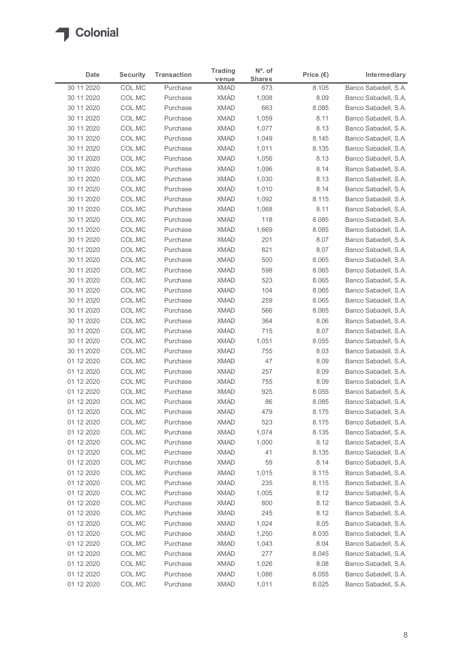

| Date                     | <b>Security</b>  | <b>Transaction</b>   | <b>Trading</b>             | N°. of               |                             | Intermediary                                 |
|--------------------------|------------------|----------------------|----------------------------|----------------------|-----------------------------|----------------------------------------------|
| 30 11 2020               | COL.MC           | Purchase             | venue<br><b>XMAD</b>       | <b>Shares</b><br>673 | Price $(\epsilon)$<br>8.105 | Banco Sabadell, S.A.                         |
| 30 11 2020               | COL.MC           | Purchase             | <b>XMAD</b>                | 1,008                | 8.09                        | Banco Sabadell, S.A.                         |
| 30 11 2020               | COL.MC           | Purchase             | <b>XMAD</b>                | 663                  | 8.085                       | Banco Sabadell, S.A.                         |
| 30 11 2020               | COL.MC           | Purchase             | <b>XMAD</b>                | 1,059                | 8.11                        | Banco Sabadell, S.A.                         |
| 30 11 2020               | COL.MC           | Purchase             | <b>XMAD</b>                | 1,077                | 8.13                        | Banco Sabadell, S.A.                         |
| 30 11 2020<br>30 11 2020 | COL.MC<br>COL.MC | Purchase<br>Purchase | <b>XMAD</b><br><b>XMAD</b> | 1,049                | 8.145<br>8.135              | Banco Sabadell, S.A.<br>Banco Sabadell, S.A. |
| 30 11 2020               | COL.MC           | Purchase             | <b>XMAD</b>                | 1,011<br>1,056       | 8.13                        | Banco Sabadell, S.A.                         |
| 30 11 2020               | COL.MC           | Purchase             | <b>XMAD</b>                | 1,096                | 8.14                        | Banco Sabadell, S.A.                         |
| 30 11 2020               | COL.MC           | Purchase             | <b>XMAD</b>                | 1,030                | 8.13                        | Banco Sabadell, S.A.                         |
| 30 11 2020               | COL.MC           | Purchase             | <b>XMAD</b>                | 1,010                | 8.14                        | Banco Sabadell, S.A.                         |
| 30 11 2020               | COL.MC           | Purchase             | <b>XMAD</b>                | 1,092                | 8.115                       | Banco Sabadell, S.A.                         |
| 30 11 2020<br>30 11 2020 | COL.MC<br>COL.MC | Purchase<br>Purchase | <b>XMAD</b><br>XMAD        | 1,068<br>118         | 8.11<br>8.085               | Banco Sabadell, S.A.<br>Banco Sabadell, S.A. |
| 30 11 2020               | COL.MC           | Purchase             | XMAD                       | 1,669                | 8.085                       | Banco Sabadell, S.A.                         |
| 30 11 2020               | COL.MC           | Purchase             | <b>XMAD</b>                | 201                  | 8.07                        | Banco Sabadell, S.A.                         |
| 30 11 2020               | COL.MC           | Purchase             | <b>XMAD</b>                | 821                  | 8.07                        | Banco Sabadell, S.A.                         |
| 30 11 2020               | COL.MC           | Purchase             | <b>XMAD</b>                | 500                  | 8.065                       | Banco Sabadell, S.A.                         |
| 30 11 2020               | COL.MC           | Purchase             | <b>XMAD</b>                | 598                  | 8.065                       | Banco Sabadell, S.A.                         |
| 30 11 2020<br>30 11 2020 | COL.MC<br>COL.MC | Purchase<br>Purchase | <b>XMAD</b><br><b>XMAD</b> | 523<br>104           | 8.065<br>8.065              | Banco Sabadell, S.A.<br>Banco Sabadell, S.A. |
| 30 11 2020               | COL.MC           | Purchase             | XMAD                       | 259                  | 8.065                       | Banco Sabadell, S.A.                         |
| 30 11 2020               | COL.MC           | Purchase             | XMAD                       | 566                  | 8.065                       | Banco Sabadell, S.A.                         |
| 30 11 2020               | COL.MC           | Purchase             | <b>XMAD</b>                | 364                  | 8.06                        | Banco Sabadell, S.A.                         |
| 30 11 2020               | COL.MC           | Purchase             | <b>XMAD</b>                | 715                  | 8.07                        | Banco Sabadell, S.A.                         |
| 30 11 2020               | COL.MC           | Purchase             | <b>XMAD</b>                | 1,051                | 8.055                       | Banco Sabadell, S.A.                         |
| 30 11 2020<br>01 12 2020 | COL.MC<br>COL.MC | Purchase<br>Purchase | <b>XMAD</b><br><b>XMAD</b> | 755<br>47            | 8.03<br>8.09                | Banco Sabadell, S.A.<br>Banco Sabadell, S.A. |
| 01 12 2020               | COL.MC           | Purchase             | XMAD                       | 257                  | 8.09                        | Banco Sabadell, S.A.                         |
| 01 12 2020               | COL.MC           | Purchase             | <b>XMAD</b>                | 755                  | 8.09                        | Banco Sabadell, S.A.                         |
| 01 12 2020               | COL.MC           | Purchase             | <b>XMAD</b>                | 925                  | 8.055                       | Banco Sabadell, S.A.                         |
| 01 12 2020               | COL.MC           | Purchase             | <b>XMAD</b>                | 86                   | 8.085                       | Banco Sabadell, S.A.                         |
| 01 12 2020               | COL.MC           | Purchase             | <b>XMAD</b>                | 479                  | 8.175                       | Banco Sabadell, S.A.                         |
| 01 12 2020               | COL.MC           | Purchase             | <b>XMAD</b>                | 523                  | 8.175                       | Banco Sabadell, S.A.                         |
| 01 12 2020<br>01 12 2020 | COL.MC<br>COL.MC | Purchase<br>Purchase | XMAD<br><b>XMAD</b>        | 1,074<br>1,000       | 8.135<br>8.12               | Banco Sabadell, S.A.<br>Banco Sabadell, S.A. |
| 01 12 2020               | COL.MC           | Purchase             | <b>XMAD</b>                | 41                   | 8.135                       | Banco Sabadell, S.A.                         |
| 01 12 2020               | COL.MC           | Purchase             | <b>XMAD</b>                | 59                   | 8.14                        | Banco Sabadell, S.A.                         |
| 01 12 2020               | COL.MC           | Purchase             | XMAD                       | 1,015                | 8.115                       | Banco Sabadell, S.A.                         |
| 01 12 2020               | COL.MC           | Purchase             | <b>XMAD</b>                | 235                  | 8.115                       | Banco Sabadell, S.A.                         |
| 01 12 2020               | COL.MC           | Purchase             | <b>XMAD</b>                | 1,005                | 8.12                        | Banco Sabadell, S.A.                         |
| 01 12 2020               | COL.MC           | Purchase             | <b>XMAD</b>                | 800                  | 8.12                        | Banco Sabadell, S.A.                         |
| 01 12 2020<br>01 12 2020 | COL.MC           | Purchase             | <b>XMAD</b><br><b>XMAD</b> | 245                  | 8.12                        | Banco Sabadell, S.A.<br>Banco Sabadell, S.A. |
| 01 12 2020               | COL.MC<br>COL.MC | Purchase<br>Purchase | <b>XMAD</b>                | 1,024<br>1,250       | 8.05<br>8.035               | Banco Sabadell, S.A.                         |
| 01 12 2020               | COL.MC           | Purchase             | <b>XMAD</b>                | 1,043                | 8.04                        | Banco Sabadell, S.A.                         |
| 01 12 2020               | COL.MC           | Purchase             | <b>XMAD</b>                | 277                  | 8.045                       | Banco Sabadell, S.A.                         |
| 01 12 2020               | COL.MC           | Purchase             | <b>XMAD</b>                | 1,026                | 8.08                        | Banco Sabadell, S.A.                         |
| 01 12 2020               | COL.MC           | Purchase             | <b>XMAD</b>                | 1,086                | 8.055                       | Banco Sabadell, S.A.                         |
| 01 12 2020               | COL.MC           | Purchase             | <b>XMAD</b>                | 1,011                | 8.025                       | Banco Sabadell, S.A.                         |